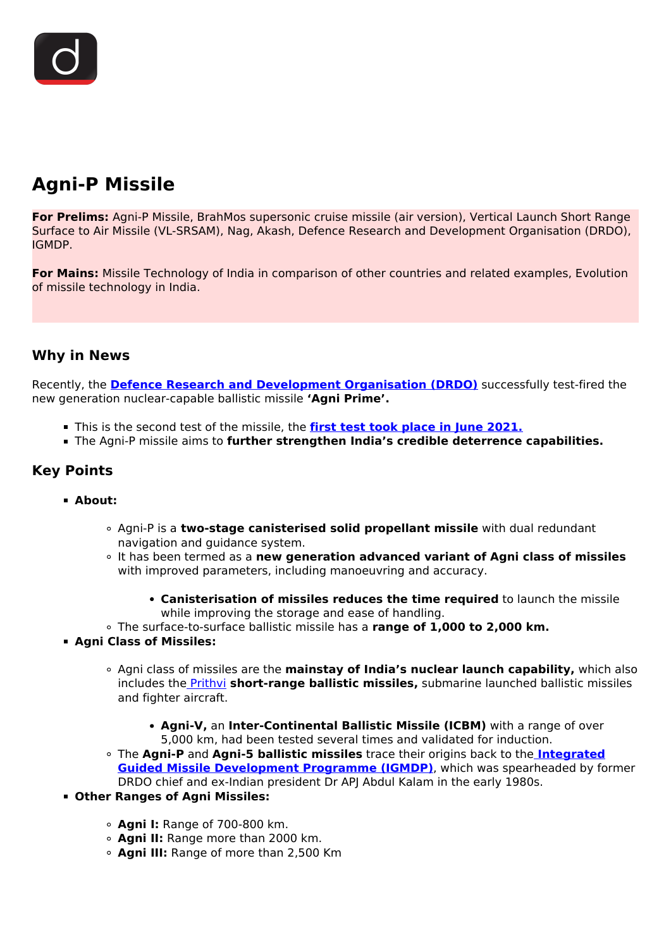# **Agni-P Missile**

**For Prelims:** Agni-P Missile, BrahMos supersonic cruise missile (air version), Vertical Launch Short Range Surface to Air Missile (VL-SRSAM), Nag, Akash, Defence Research and Development Organisation (DRDO), IGMDP.

**For Mains:** Missile Technology of India in comparison of other countries and related examples, Evolution of missile technology in India.

## **Why in News**

Recently, the **[Defence Research and Development Organisation \(DRDO\)](/important-institutions/drishti-specials-important-institutions-national-institutions/defence-research-and-development-organisation-drdo)** successfully test-fired the new generation nuclear-capable ballistic missile **'Agni Prime'.**

- This is the second test of the missile, the **[first test took place in June 2021.](/daily-updates/daily-news-analysis/agni-p-prime)**
- The Agni-P missile aims to **further strengthen India's credible deterrence capabilities.**

### **Key Points**

- **About:**
	- Agni-P is a **two-stage canisterised solid propellant missile** with dual redundant navigation and guidance system.
	- It has been termed as a **new generation advanced variant of Agni class of missiles** with improved parameters, including manoeuvring and accuracy.
		- **Canisterisation of missiles reduces the time required** to launch the missile while improving the storage and ease of handling.
	- The surface-to-surface ballistic missile has a **range of 1,000 to 2,000 km.**
- **Agni Class of Missiles:**
	- Agni class of missiles are the **mainstay of India's nuclear launch capability,** which also includes the [Prithvi](/important-institutions/drishti-specials-important-institutions-national-institutions/defence-research-and-development-organisation-drdo) **short-range ballistic missiles,** submarine launched ballistic missiles and fighter aircraft.
		- **Agni-V,** an **Inter-Continental Ballistic Missile (ICBM)** with a range of over 5,000 km, had been tested several times and validated for induction.
	- The **Agni-P** and **Agni-5 ballistic missiles** trace their origins back to the **[Integrated](/important-institutions/drishti-specials-important-institutions-national-institutions/defence-research-and-development-organisation-drdo) [Guided Missile Development Programme \(IGMDP\)](/important-institutions/drishti-specials-important-institutions-national-institutions/defence-research-and-development-organisation-drdo)**, which was spearheaded by former DRDO chief and ex-Indian president Dr APJ Abdul Kalam in the early 1980s.
- **Other Ranges of Agni Missiles:**
	- **Agni I:** Range of 700-800 km.
	- **Agni II:** Range more than 2000 km.
	- **Agni III:** Range of more than 2,500 Km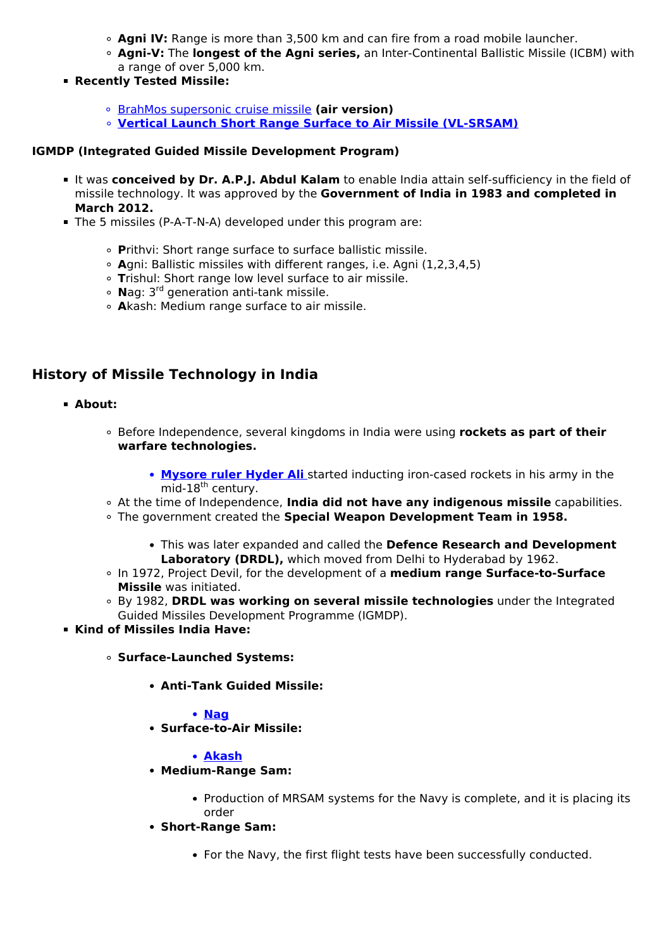- **Agni IV:** Range is more than 3,500 km and can fire from a road mobile launcher.
- **Agni-V:** The **longest of the Agni series,** an Inter-Continental Ballistic Missile (ICBM) with a range of over 5,000 km.
- **Recently Tested Missile:**
	- [BrahMos supersonic cruise missile](/daily-updates/daily-news-analysis/brahmos-missile) **(air version)**
	- **[Vertical Launch Short Range Surface to Air Missile \(VL-SRSAM\)](/daily-updates/daily-news-analysis/smart-system-drdo)**

#### **IGMDP (Integrated Guided Missile Development Program)**

- It was **conceived by Dr. A.P.J. Abdul Kalam** to enable India attain self-sufficiency in the field of missile technology. It was approved by the **Government of India in 1983 and completed in March 2012.**
- The 5 missiles (P-A-T-N-A) developed under this program are:
	- **P**rithvi: Short range surface to surface ballistic missile.
	- **A**gni: Ballistic missiles with different ranges, i.e. Agni (1,2,3,4,5)
	- **T**rishul: Short range low level surface to air missile.
	- **N**ag: 3rd generation anti-tank missile.
	- **A**kash: Medium range surface to air missile.

# **History of Missile Technology in India**

- **About:**
	- Before Independence, several kingdoms in India were using **rockets as part of their warfare technologies.**
		- **[Mysore ruler Hyder Ali](/to-the-points/paper1/anglo-mysore-wars)** [s](/to-the-points/paper1/anglo-mysore-wars)tarted inducting iron-cased rockets in his army in the  $mid-18<sup>th</sup>$  century.
	- At the time of Independence, **India did not have any indigenous missile** capabilities.
	- The government created the **Special Weapon Development Team in 1958.**
		- This was later expanded and called the **Defence Research and Development Laboratory (DRDL),** which moved from Delhi to Hyderabad by 1962.
	- In 1972, Project Devil, for the development of a **medium range Surface-to-Surface Missile** was initiated.
	- By 1982, **DRDL was working on several missile technologies** under the Integrated Guided Missiles Development Programme (IGMDP).
- **Kind of Missiles India Have:**
	- **Surface-Launched Systems:**
		- **Anti-Tank Guided Missile:**

#### **[Nag](/daily-updates/daily-news-analysis/helina-and-dhruvastra-anti-tank-guided-missile)**

**Surface-to-Air Missile:**

#### **[Akash](/daily-updates/daily-news-analysis/akash-prime-surface-to-air-missile-drdo)**

- **Medium-Range Sam:**
	- Production of MRSAM systems for the Navy is complete, and it is placing its order
- **Short-Range Sam:**
	- For the Navy, the first flight tests have been successfully conducted.